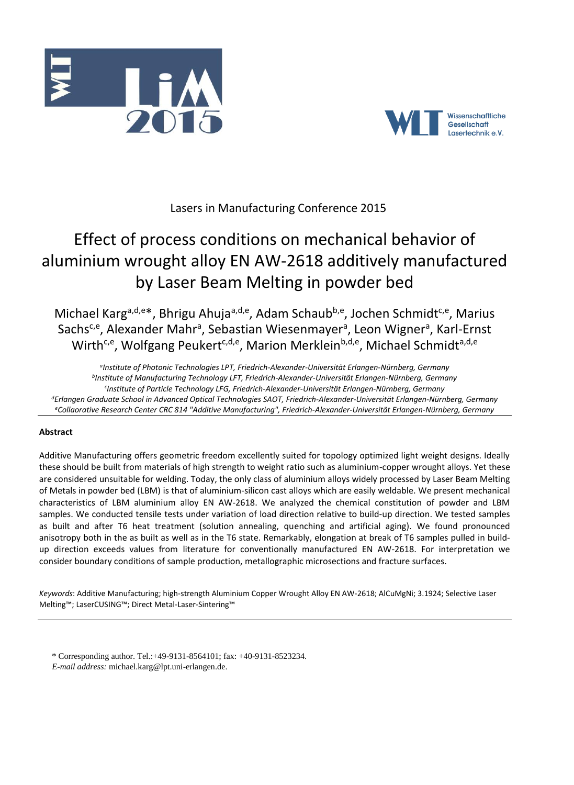



# Lasers in Manufacturing Conference 2015

# Effect of process conditions on mechanical behavior of aluminium wrought alloy EN AW-2618 additively manufactured by Laser Beam Melting in powder bed

Michael Karg<sup>a,d,e\*</sup>, Bhrigu Ahuja<sup>a,d,e</sup>, Adam Schaub<sup>b,e</sup>, Jochen Schmidt<sup>c,e</sup>, Marius Sachs<sup>c,e</sup>, Alexander Mahr<sup>a</sup>, Sebastian Wiesenmayer<sup>a</sup>, Leon Wigner<sup>a</sup>, Karl-Ernst Wirth<sup>c,e</sup>, Wolfgang Peukert<sup>c,d,e</sup>, Marion Merklein<sup>b,d,e</sup>, Michael Schmidt<sup>a,d,e</sup>

*a Institute of Photonic Technologies LPT, Friedrich-Alexander-Universität Erlangen-Nürnberg, Germany b Institute of Manufacturing Technology LFT, Friedrich-Alexander-Universität Erlangen-Nürnberg, Germany c Institute of Particle Technology LFG, Friedrich-Alexander-Universität Erlangen-Nürnberg, Germany <sup>d</sup>Erlangen Graduate School in Advanced Optical Technologies SAOT, Friedrich-Alexander-Universität Erlangen-Nürnberg, Germany <sup>e</sup>Collaorative Research Center CRC 814 "Additive Manufacturing", Friedrich-Alexander-Universität Erlangen-Nürnberg, Germany*

# **Abstract**

Additive Manufacturing offers geometric freedom excellently suited for topology optimized light weight designs. Ideally these should be built from materials of high strength to weight ratio such as aluminium-copper wrought alloys. Yet these are considered unsuitable for welding. Today, the only class of aluminium alloys widely processed by Laser Beam Melting of Metals in powder bed (LBM) is that of aluminium-silicon cast alloys which are easily weldable. We present mechanical characteristics of LBM aluminium alloy EN AW-2618. We analyzed the chemical constitution of powder and LBM samples. We conducted tensile tests under variation of load direction relative to build-up direction. We tested samples as built and after T6 heat treatment (solution annealing, quenching and artificial aging). We found pronounced anisotropy both in the as built as well as in the T6 state. Remarkably, elongation at break of T6 samples pulled in buildup direction exceeds values from literature for conventionally manufactured EN AW-2618. For interpretation we consider boundary conditions of sample production, metallographic microsections and fracture surfaces.

*Keywords*: Additive Manufacturing; high-strength Aluminium Copper Wrought Alloy EN AW-2618; AlCuMgNi; 3.1924; Selective Laser Melting™; LaserCUSING™; Direct Metal-Laser-Sintering™

- \* Corresponding author. Tel.:+49-9131-8564101; fax: +40-9131-8523234.
- *E-mail address:* michael.karg@lpt.uni-erlangen.de.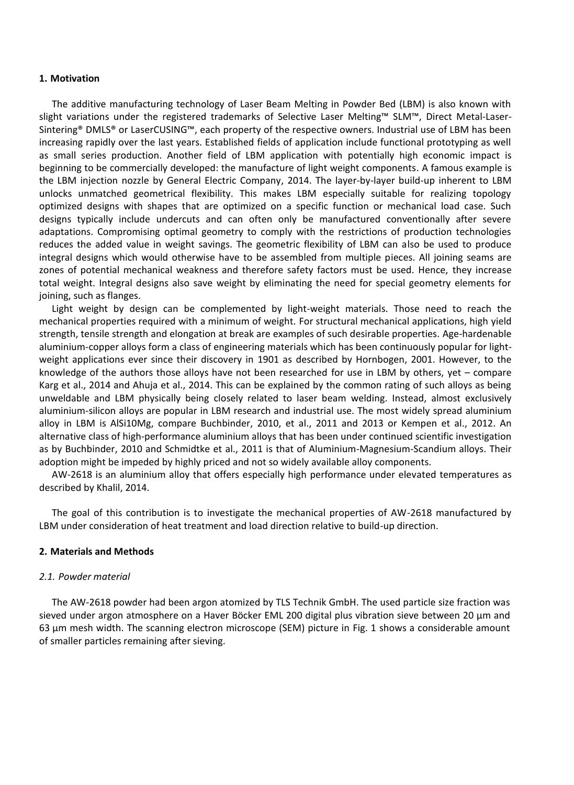#### **1. Motivation**

The additive manufacturing technology of Laser Beam Melting in Powder Bed (LBM) is also known with slight variations under the registered trademarks of Selective Laser Melting™ SLM™, Direct Metal-Laser-Sintering® DMLS® or LaserCUSING™, each property of the respective owners. Industrial use of LBM has been increasing rapidly over the last years. Established fields of application include functional prototyping as well as small series production. Another field of LBM application with potentially high economic impact is beginning to be commercially developed: the manufacture of light weight components. A famous example is the LBM injection nozzle by General Electric Company, 2014. The layer-by-layer build-up inherent to LBM unlocks unmatched geometrical flexibility. This makes LBM especially suitable for realizing topology optimized designs with shapes that are optimized on a specific function or mechanical load case. Such designs typically include undercuts and can often only be manufactured conventionally after severe adaptations. Compromising optimal geometry to comply with the restrictions of production technologies reduces the added value in weight savings. The geometric flexibility of LBM can also be used to produce integral designs which would otherwise have to be assembled from multiple pieces. All joining seams are zones of potential mechanical weakness and therefore safety factors must be used. Hence, they increase total weight. Integral designs also save weight by eliminating the need for special geometry elements for joining, such as flanges.

Light weight by design can be complemented by light-weight materials. Those need to reach the mechanical properties required with a minimum of weight. For structural mechanical applications, high yield strength, tensile strength and elongation at break are examples of such desirable properties. Age-hardenable aluminium-copper alloys form a class of engineering materials which has been continuously popular for lightweight applications ever since their discovery in 1901 as described by Hornbogen, 2001. However, to the knowledge of the authors those alloys have not been researched for use in LBM by others, yet – compare Karg et al., 2014 and Ahuja et al., 2014. This can be explained by the common rating of such alloys as being unweldable and LBM physically being closely related to laser beam welding. Instead, almost exclusively aluminium-silicon alloys are popular in LBM research and industrial use. The most widely spread aluminium alloy in LBM is AlSi10Mg, compare Buchbinder, 2010, et al., 2011 and 2013 or Kempen et al., 2012. An alternative class of high-performance aluminium alloys that has been under continued scientific investigation as by Buchbinder, 2010 and Schmidtke et al., 2011 is that of Aluminium-Magnesium-Scandium alloys. Their adoption might be impeded by highly priced and not so widely available alloy components.

AW-2618 is an aluminium alloy that offers especially high performance under elevated temperatures as described by Khalil, 2014.

The goal of this contribution is to investigate the mechanical properties of AW-2618 manufactured by LBM under consideration of heat treatment and load direction relative to build-up direction.

#### **2. Materials and Methods**

#### *2.1. Powder material*

The AW-2618 powder had been argon atomized by TLS Technik GmbH. The used particle size fraction was sieved under argon atmosphere on a Haver Böcker EML 200 digital plus vibration sieve between 20 µm and 63 µm mesh width. The scanning electron microscope (SEM) picture in Fig. 1 shows a considerable amount of smaller particles remaining after sieving.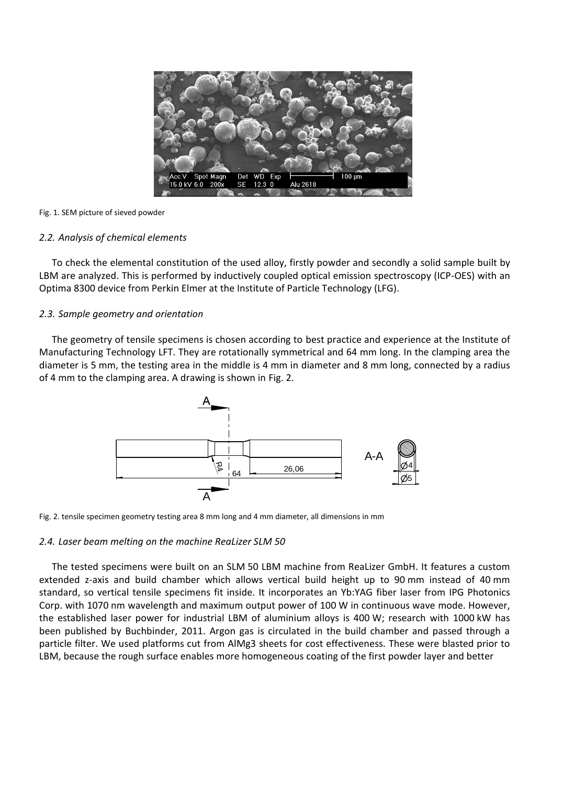

#### Fig. 1. SEM picture of sieved powder

# *2.2. Analysis of chemical elements*

To check the elemental constitution of the used alloy, firstly powder and secondly a solid sample built by LBM are analyzed. This is performed by inductively coupled optical emission spectroscopy (ICP-OES) with an Optima 8300 device from Perkin Elmer at the Institute of Particle Technology (LFG).

# *2.3. Sample geometry and orientation*

The geometry of tensile specimens is chosen according to best practice and experience at the Institute of Manufacturing Technology LFT. They are rotationally symmetrical and 64 mm long. In the clamping area the diameter is 5 mm, the testing area in the middle is 4 mm in diameter and 8 mm long, connected by a radius of 4 mm to the clamping area. A drawing is shown in Fig. 2.



Fig. 2. tensile specimen geometry testing area 8 mm long and 4 mm diameter, all dimensions in mm

# *2.4. Laser beam melting on the machine ReaLizer SLM 50*

The tested specimens were built on an SLM 50 LBM machine from ReaLizer GmbH. It features a custom extended z-axis and build chamber which allows vertical build height up to 90 mm instead of 40 mm standard, so vertical tensile specimens fit inside. It incorporates an Yb:YAG fiber laser from IPG Photonics Corp. with 1070 nm wavelength and maximum output power of 100 W in continuous wave mode. However, the established laser power for industrial LBM of aluminium alloys is 400 W; research with 1000 kW has been published by Buchbinder, 2011. Argon gas is circulated in the build chamber and passed through a particle filter. We used platforms cut from AlMg3 sheets for cost effectiveness. These were blasted prior to LBM, because the rough surface enables more homogeneous coating of the first powder layer and better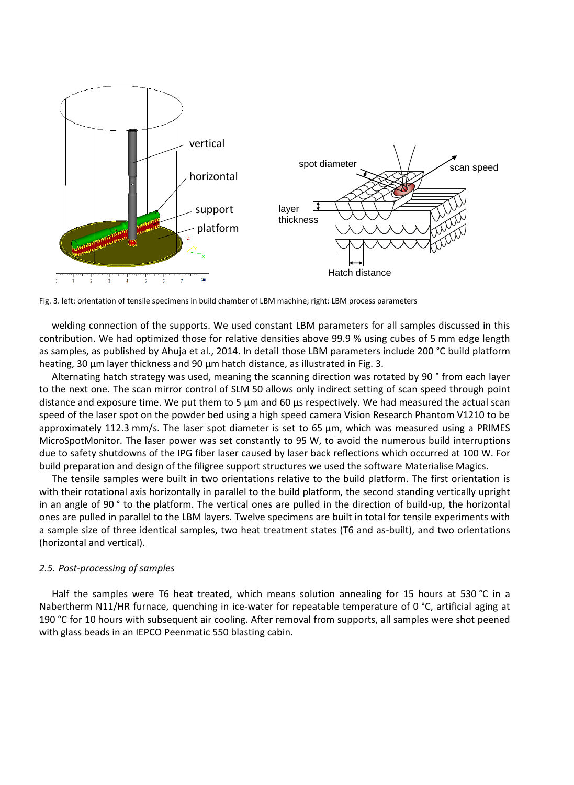

Fig. 3. left: orientation of tensile specimens in build chamber of LBM machine; right: LBM process parameters

welding connection of the supports. We used constant LBM parameters for all samples discussed in this contribution. We had optimized those for relative densities above 99.9 % using cubes of 5 mm edge length as samples, as published by Ahuja et al., 2014. In detail those LBM parameters include 200 °C build platform heating, 30 µm layer thickness and 90 µm hatch distance, as illustrated in Fig. 3.

Alternating hatch strategy was used, meaning the scanning direction was rotated by 90 ° from each layer to the next one. The scan mirror control of SLM 50 allows only indirect setting of scan speed through point distance and exposure time. We put them to 5 µm and 60 µs respectively. We had measured the actual scan speed of the laser spot on the powder bed using a high speed camera Vision Research Phantom V1210 to be approximately 112.3 mm/s. The laser spot diameter is set to 65  $\mu$ m, which was measured using a PRIMES MicroSpotMonitor. The laser power was set constantly to 95 W, to avoid the numerous build interruptions due to safety shutdowns of the IPG fiber laser caused by laser back reflections which occurred at 100 W. For build preparation and design of the filigree support structures we used the software Materialise Magics.

The tensile samples were built in two orientations relative to the build platform. The first orientation is with their rotational axis horizontally in parallel to the build platform, the second standing vertically upright in an angle of 90 ° to the platform. The vertical ones are pulled in the direction of build-up, the horizontal ones are pulled in parallel to the LBM layers. Twelve specimens are built in total for tensile experiments with a sample size of three identical samples, two heat treatment states (T6 and as-built), and two orientations (horizontal and vertical).

#### *2.5. Post-processing of samples*

Half the samples were T6 heat treated, which means solution annealing for 15 hours at 530 °C in a Nabertherm N11/HR furnace, quenching in ice-water for repeatable temperature of 0 °C, artificial aging at 190 °C for 10 hours with subsequent air cooling. After removal from supports, all samples were shot peened with glass beads in an IEPCO Peenmatic 550 blasting cabin.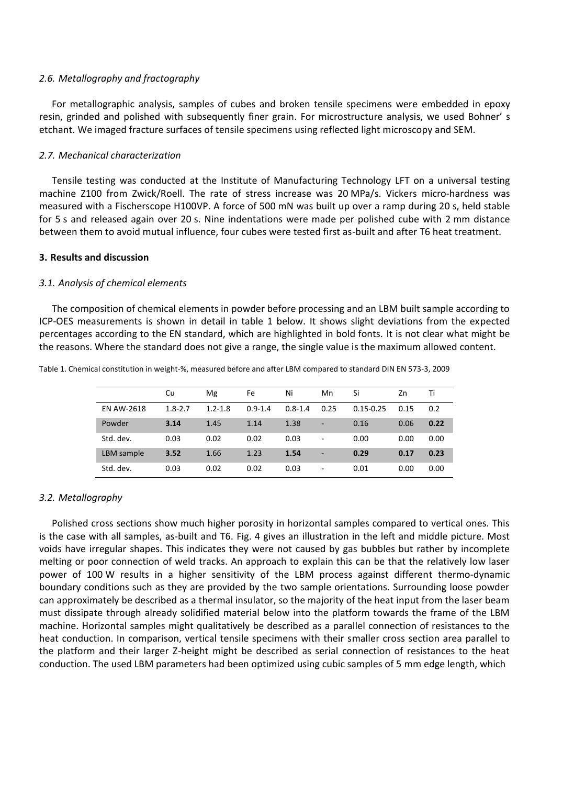#### *2.6. Metallography and fractography*

For metallographic analysis, samples of cubes and broken tensile specimens were embedded in epoxy resin, grinded and polished with subsequently finer grain. For microstructure analysis, we used Bohner' s etchant. We imaged fracture surfaces of tensile specimens using reflected light microscopy and SEM.

#### *2.7. Mechanical characterization*

Tensile testing was conducted at the Institute of Manufacturing Technology LFT on a universal testing machine Z100 from Zwick/Roell. The rate of stress increase was 20 MPa/s. Vickers micro-hardness was measured with a Fischerscope H100VP. A force of 500 mN was built up over a ramp during 20 s, held stable for 5 s and released again over 20 s. Nine indentations were made per polished cube with 2 mm distance between them to avoid mutual influence, four cubes were tested first as-built and after T6 heat treatment.

#### **3. Results and discussion**

#### *3.1. Analysis of chemical elements*

The composition of chemical elements in powder before processing and an LBM built sample according to ICP-OES measurements is shown in detail in table 1 below. It shows slight deviations from the expected percentages according to the EN standard, which are highlighted in bold fonts. It is not clear what might be the reasons. Where the standard does not give a range, the single value is the maximum allowed content.

|                   | Cu          | Mg          | Fe          | Ni          | Mn                           | Si            | Zn   | Ti   |
|-------------------|-------------|-------------|-------------|-------------|------------------------------|---------------|------|------|
| <b>EN AW-2618</b> | $1.8 - 2.7$ | $1.2 - 1.8$ | $0.9 - 1.4$ | $0.8 - 1.4$ | 0.25                         | $0.15 - 0.25$ | 0.15 | 0.2  |
| Powder            | 3.14        | 1.45        | 1.14        | 1.38        | -                            | 0.16          | 0.06 | 0.22 |
| Std. dev.         | 0.03        | 0.02        | 0.02        | 0.03        | $\qquad \qquad \blacksquare$ | 0.00          | 0.00 | 0.00 |
| LBM sample        | 3.52        | 1.66        | 1.23        | 1.54        | $\qquad \qquad \blacksquare$ | 0.29          | 0.17 | 0.23 |
| Std. dev.         | 0.03        | 0.02        | 0.02        | 0.03        | $\overline{\phantom{0}}$     | 0.01          | 0.00 | 0.00 |

Table 1. Chemical constitution in weight-%, measured before and after LBM compared to standard DIN EN 573-3, 2009

#### *3.2. Metallography*

Polished cross sections show much higher porosity in horizontal samples compared to vertical ones. This is the case with all samples, as-built and T6. Fig. 4 gives an illustration in the left and middle picture. Most voids have irregular shapes. This indicates they were not caused by gas bubbles but rather by incomplete melting or poor connection of weld tracks. An approach to explain this can be that the relatively low laser power of 100 W results in a higher sensitivity of the LBM process against different thermo-dynamic boundary conditions such as they are provided by the two sample orientations. Surrounding loose powder can approximately be described as a thermal insulator, so the majority of the heat input from the laser beam must dissipate through already solidified material below into the platform towards the frame of the LBM machine. Horizontal samples might qualitatively be described as a parallel connection of resistances to the heat conduction. In comparison, vertical tensile specimens with their smaller cross section area parallel to the platform and their larger Z-height might be described as serial connection of resistances to the heat conduction. The used LBM parameters had been optimized using cubic samples of 5 mm edge length, which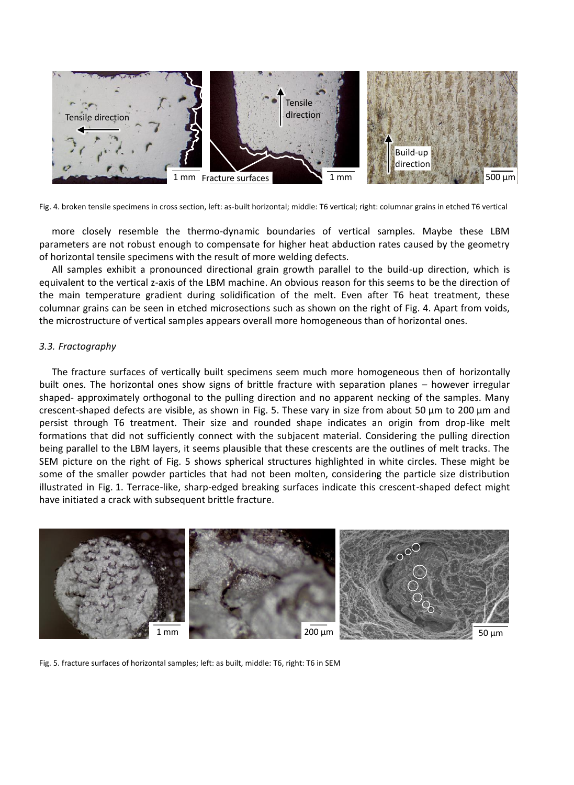

Fig. 4. broken tensile specimens in cross section, left: as-built horizontal; middle: T6 vertical; right: columnar grains in etched T6 vertical

more closely resemble the thermo-dynamic boundaries of vertical samples. Maybe these LBM parameters are not robust enough to compensate for higher heat abduction rates caused by the geometry of horizontal tensile specimens with the result of more welding defects.

All samples exhibit a pronounced directional grain growth parallel to the build-up direction, which is equivalent to the vertical z-axis of the LBM machine. An obvious reason for this seems to be the direction of the main temperature gradient during solidification of the melt. Even after T6 heat treatment, these columnar grains can be seen in etched microsections such as shown on the right of Fig. 4. Apart from voids, the microstructure of vertical samples appears overall more homogeneous than of horizontal ones.

# *3.3. Fractography*

The fracture surfaces of vertically built specimens seem much more homogeneous then of horizontally built ones. The horizontal ones show signs of brittle fracture with separation planes – however irregular shaped- approximately orthogonal to the pulling direction and no apparent necking of the samples. Many crescent-shaped defects are visible, as shown in Fig. 5. These vary in size from about 50 µm to 200 µm and persist through T6 treatment. Their size and rounded shape indicates an origin from drop-like melt formations that did not sufficiently connect with the subjacent material. Considering the pulling direction being parallel to the LBM layers, it seems plausible that these crescents are the outlines of melt tracks. The SEM picture on the right of Fig. 5 shows spherical structures highlighted in white circles. These might be some of the smaller powder particles that had not been molten, considering the particle size distribution illustrated in Fig. 1. Terrace-like, sharp-edged breaking surfaces indicate this crescent-shaped defect might have initiated a crack with subsequent brittle fracture.



Fig. 5. fracture surfaces of horizontal samples; left: as built, middle: T6, right: T6 in SEM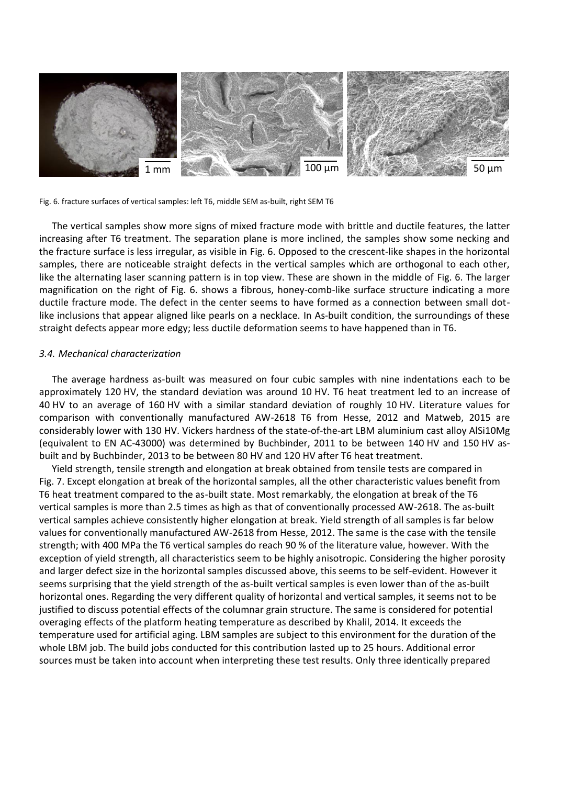

Fig. 6. fracture surfaces of vertical samples: left T6, middle SEM as-built, right SEM T6

The vertical samples show more signs of mixed fracture mode with brittle and ductile features, the latter increasing after T6 treatment. The separation plane is more inclined, the samples show some necking and the fracture surface is less irregular, as visible in Fig. 6. Opposed to the crescent-like shapes in the horizontal samples, there are noticeable straight defects in the vertical samples which are orthogonal to each other, like the alternating laser scanning pattern is in top view. These are shown in the middle of Fig. 6. The larger magnification on the right of Fig. 6. shows a fibrous, honey-comb-like surface structure indicating a more ductile fracture mode. The defect in the center seems to have formed as a connection between small dotlike inclusions that appear aligned like pearls on a necklace. In As-built condition, the surroundings of these straight defects appear more edgy; less ductile deformation seems to have happened than in T6.

#### *3.4. Mechanical characterization*

The average hardness as-built was measured on four cubic samples with nine indentations each to be approximately 120 HV, the standard deviation was around 10 HV. T6 heat treatment led to an increase of 40 HV to an average of 160 HV with a similar standard deviation of roughly 10 HV. Literature values for comparison with conventionally manufactured AW-2618 T6 from Hesse, 2012 and Matweb, 2015 are considerably lower with 130 HV. Vickers hardness of the state-of-the-art LBM aluminium cast alloy AlSi10Mg (equivalent to EN AC-43000) was determined by Buchbinder, 2011 to be between 140 HV and 150 HV asbuilt and by Buchbinder, 2013 to be between 80 HV and 120 HV after T6 heat treatment.

Yield strength, tensile strength and elongation at break obtained from tensile tests are compared in Fig. 7. Except elongation at break of the horizontal samples, all the other characteristic values benefit from T6 heat treatment compared to the as-built state. Most remarkably, the elongation at break of the T6 vertical samples is more than 2.5 times as high as that of conventionally processed AW-2618. The as-built vertical samples achieve consistently higher elongation at break. Yield strength of all samples is far below values for conventionally manufactured AW-2618 from Hesse, 2012. The same is the case with the tensile strength; with 400 MPa the T6 vertical samples do reach 90 % of the literature value, however. With the exception of yield strength, all characteristics seem to be highly anisotropic. Considering the higher porosity and larger defect size in the horizontal samples discussed above, this seems to be self-evident. However it seems surprising that the yield strength of the as-built vertical samples is even lower than of the as-built horizontal ones. Regarding the very different quality of horizontal and vertical samples, it seems not to be justified to discuss potential effects of the columnar grain structure. The same is considered for potential overaging effects of the platform heating temperature as described by Khalil, 2014. It exceeds the temperature used for artificial aging. LBM samples are subject to this environment for the duration of the whole LBM job. The build jobs conducted for this contribution lasted up to 25 hours. Additional error sources must be taken into account when interpreting these test results. Only three identically prepared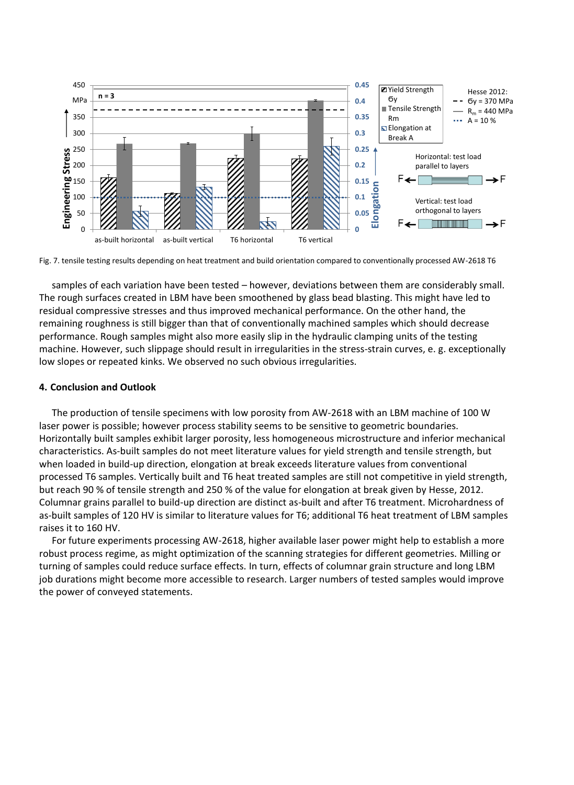

Fig. 7. tensile testing results depending on heat treatment and build orientation compared to conventionally processed AW-2618 T6

samples of each variation have been tested – however, deviations between them are considerably small. The rough surfaces created in LBM have been smoothened by glass bead blasting. This might have led to residual compressive stresses and thus improved mechanical performance. On the other hand, the remaining roughness is still bigger than that of conventionally machined samples which should decrease performance. Rough samples might also more easily slip in the hydraulic clamping units of the testing machine. However, such slippage should result in irregularities in the stress-strain curves, e. g. exceptionally low slopes or repeated kinks. We observed no such obvious irregularities.

#### **4. Conclusion and Outlook**

The production of tensile specimens with low porosity from AW-2618 with an LBM machine of 100 W laser power is possible; however process stability seems to be sensitive to geometric boundaries. Horizontally built samples exhibit larger porosity, less homogeneous microstructure and inferior mechanical characteristics. As-built samples do not meet literature values for yield strength and tensile strength, but when loaded in build-up direction, elongation at break exceeds literature values from conventional processed T6 samples. Vertically built and T6 heat treated samples are still not competitive in yield strength, but reach 90 % of tensile strength and 250 % of the value for elongation at break given by Hesse, 2012. Columnar grains parallel to build-up direction are distinct as-built and after T6 treatment. Microhardness of as-built samples of 120 HV is similar to literature values for T6; additional T6 heat treatment of LBM samples raises it to 160 HV.

For future experiments processing AW-2618, higher available laser power might help to establish a more robust process regime, as might optimization of the scanning strategies for different geometries. Milling or turning of samples could reduce surface effects. In turn, effects of columnar grain structure and long LBM job durations might become more accessible to research. Larger numbers of tested samples would improve the power of conveyed statements.